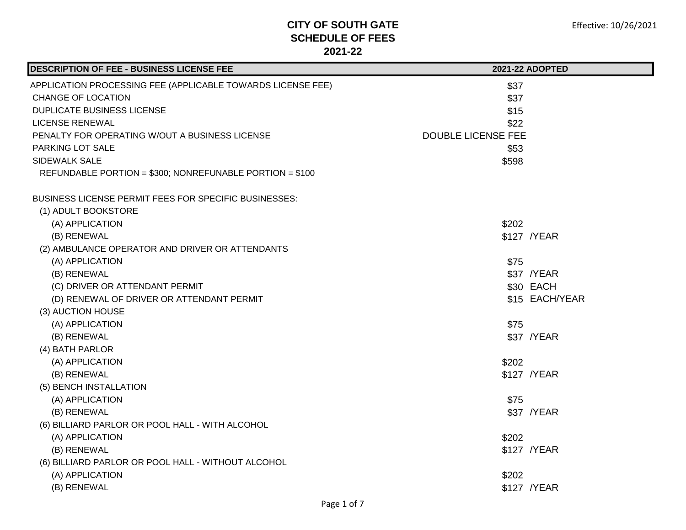| DESCRIPTION OF FEE - BUSINESS LICENSE FEE                   | 2021-22 ADOPTED           |
|-------------------------------------------------------------|---------------------------|
| APPLICATION PROCESSING FEE (APPLICABLE TOWARDS LICENSE FEE) | \$37                      |
| <b>CHANGE OF LOCATION</b>                                   | \$37                      |
| DUPLICATE BUSINESS LICENSE                                  | \$15                      |
| <b>LICENSE RENEWAL</b>                                      | \$22                      |
| PENALTY FOR OPERATING W/OUT A BUSINESS LICENSE              | <b>DOUBLE LICENSE FEE</b> |
| PARKING LOT SALE                                            | \$53                      |
| <b>SIDEWALK SALE</b>                                        | \$598                     |
| REFUNDABLE PORTION = \$300; NONREFUNABLE PORTION = \$100    |                           |
| BUSINESS LICENSE PERMIT FEES FOR SPECIFIC BUSINESSES:       |                           |
| (1) ADULT BOOKSTORE                                         |                           |
| (A) APPLICATION                                             | \$202                     |
| (B) RENEWAL                                                 | \$127 / YEAR              |
| (2) AMBULANCE OPERATOR AND DRIVER OR ATTENDANTS             |                           |
| (A) APPLICATION                                             | \$75                      |
| (B) RENEWAL                                                 | \$37 /YEAR                |
| (C) DRIVER OR ATTENDANT PERMIT                              | \$30 EACH                 |
| (D) RENEWAL OF DRIVER OR ATTENDANT PERMIT                   | \$15 EACH/YEAR            |
| (3) AUCTION HOUSE                                           |                           |
| (A) APPLICATION                                             | \$75                      |
| (B) RENEWAL                                                 | \$37 /YEAR                |
| (4) BATH PARLOR                                             |                           |
| (A) APPLICATION                                             | \$202                     |
| (B) RENEWAL                                                 | \$127 / YEAR              |
| (5) BENCH INSTALLATION                                      |                           |
| (A) APPLICATION                                             | \$75                      |
| (B) RENEWAL                                                 | \$37 / YEAR               |
| (6) BILLIARD PARLOR OR POOL HALL - WITH ALCOHOL             |                           |
| (A) APPLICATION                                             | \$202                     |
| (B) RENEWAL                                                 | \$127 / YEAR              |
| (6) BILLIARD PARLOR OR POOL HALL - WITHOUT ALCOHOL          |                           |
| (A) APPLICATION                                             | \$202                     |
| (B) RENEWAL                                                 | \$127 / YEAR              |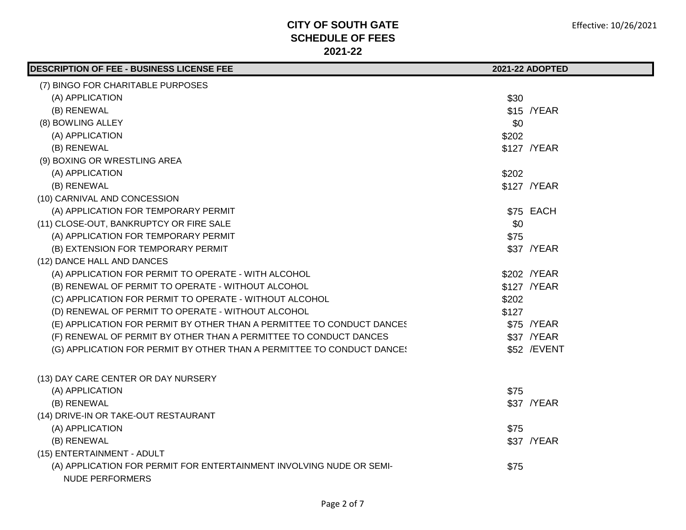| <b>DESCRIPTION OF FEE - BUSINESS LICENSE FEE</b>                                               |       | 2021-22 ADOPTED |
|------------------------------------------------------------------------------------------------|-------|-----------------|
| (7) BINGO FOR CHARITABLE PURPOSES                                                              |       |                 |
| (A) APPLICATION                                                                                | \$30  |                 |
| (B) RENEWAL                                                                                    |       | \$15 /YEAR      |
| (8) BOWLING ALLEY                                                                              | \$0   |                 |
| (A) APPLICATION                                                                                | \$202 |                 |
| (B) RENEWAL                                                                                    |       | \$127 / YEAR    |
| (9) BOXING OR WRESTLING AREA                                                                   |       |                 |
| (A) APPLICATION                                                                                | \$202 |                 |
| (B) RENEWAL                                                                                    |       | \$127 / YEAR    |
| (10) CARNIVAL AND CONCESSION                                                                   |       |                 |
| (A) APPLICATION FOR TEMPORARY PERMIT                                                           |       | \$75 EACH       |
| (11) CLOSE-OUT, BANKRUPTCY OR FIRE SALE                                                        | \$0   |                 |
| (A) APPLICATION FOR TEMPORARY PERMIT                                                           | \$75  |                 |
| (B) EXTENSION FOR TEMPORARY PERMIT                                                             |       | \$37 / YEAR     |
| (12) DANCE HALL AND DANCES                                                                     |       |                 |
| (A) APPLICATION FOR PERMIT TO OPERATE - WITH ALCOHOL                                           |       | \$202 / YEAR    |
| (B) RENEWAL OF PERMIT TO OPERATE - WITHOUT ALCOHOL                                             |       | \$127 / YEAR    |
| (C) APPLICATION FOR PERMIT TO OPERATE - WITHOUT ALCOHOL                                        | \$202 |                 |
| (D) RENEWAL OF PERMIT TO OPERATE - WITHOUT ALCOHOL                                             | \$127 |                 |
| (E) APPLICATION FOR PERMIT BY OTHER THAN A PERMITTEE TO CONDUCT DANCES                         |       | \$75 /YEAR      |
| (F) RENEWAL OF PERMIT BY OTHER THAN A PERMITTEE TO CONDUCT DANCES                              |       | \$37 /YEAR      |
| (G) APPLICATION FOR PERMIT BY OTHER THAN A PERMITTEE TO CONDUCT DANCE!                         |       | \$52 / EVENT    |
| (13) DAY CARE CENTER OR DAY NURSERY                                                            |       |                 |
| (A) APPLICATION                                                                                | \$75  |                 |
| (B) RENEWAL                                                                                    |       | \$37 / YEAR     |
| (14) DRIVE-IN OR TAKE-OUT RESTAURANT                                                           |       |                 |
| (A) APPLICATION                                                                                | \$75  |                 |
| (B) RENEWAL                                                                                    |       | \$37 / YEAR     |
| (15) ENTERTAINMENT - ADULT                                                                     |       |                 |
| (A) APPLICATION FOR PERMIT FOR ENTERTAINMENT INVOLVING NUDE OR SEMI-<br><b>NUDE PERFORMERS</b> | \$75  |                 |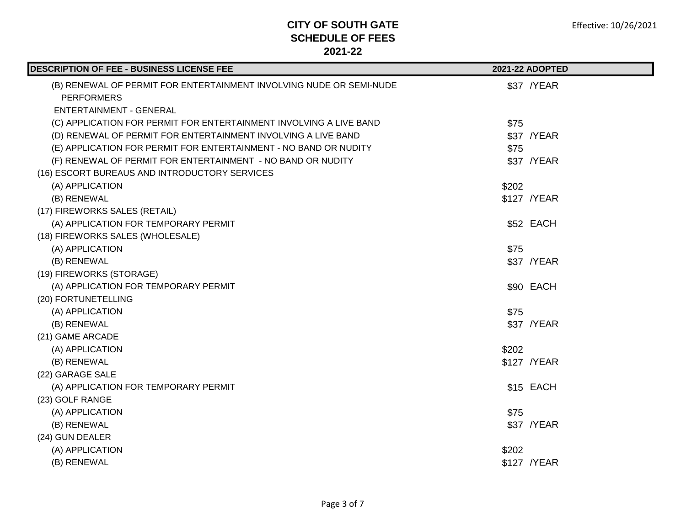| DESCRIPTION OF FEE - BUSINESS LICENSE FEE                           |       | 2021-22 ADOPTED |
|---------------------------------------------------------------------|-------|-----------------|
| (B) RENEWAL OF PERMIT FOR ENTERTAINMENT INVOLVING NUDE OR SEMI-NUDE |       | \$37 / YEAR     |
| <b>PERFORMERS</b>                                                   |       |                 |
| <b>ENTERTAINMENT - GENERAL</b>                                      |       |                 |
| (C) APPLICATION FOR PERMIT FOR ENTERTAINMENT INVOLVING A LIVE BAND  | \$75  |                 |
| (D) RENEWAL OF PERMIT FOR ENTERTAINMENT INVOLVING A LIVE BAND       |       | \$37 / YEAR     |
| (E) APPLICATION FOR PERMIT FOR ENTERTAINMENT - NO BAND OR NUDITY    | \$75  |                 |
| (F) RENEWAL OF PERMIT FOR ENTERTAINMENT - NO BAND OR NUDITY         |       | \$37 / YEAR     |
| (16) ESCORT BUREAUS AND INTRODUCTORY SERVICES                       |       |                 |
| (A) APPLICATION                                                     | \$202 |                 |
| (B) RENEWAL                                                         |       | \$127 / YEAR    |
| (17) FIREWORKS SALES (RETAIL)                                       |       |                 |
| (A) APPLICATION FOR TEMPORARY PERMIT                                |       | \$52 EACH       |
| (18) FIREWORKS SALES (WHOLESALE)                                    |       |                 |
| (A) APPLICATION                                                     | \$75  |                 |
| (B) RENEWAL                                                         |       | \$37 / YEAR     |
| (19) FIREWORKS (STORAGE)                                            |       |                 |
| (A) APPLICATION FOR TEMPORARY PERMIT                                |       | \$90 EACH       |
| (20) FORTUNETELLING                                                 |       |                 |
| (A) APPLICATION                                                     | \$75  |                 |
| (B) RENEWAL                                                         |       | \$37 / YEAR     |
| (21) GAME ARCADE                                                    |       |                 |
| (A) APPLICATION                                                     | \$202 |                 |
| (B) RENEWAL                                                         |       | \$127 / YEAR    |
| (22) GARAGE SALE                                                    |       |                 |
| (A) APPLICATION FOR TEMPORARY PERMIT                                |       | \$15 EACH       |
| (23) GOLF RANGE                                                     |       |                 |
| (A) APPLICATION                                                     | \$75  |                 |
| (B) RENEWAL                                                         |       | \$37 /YEAR      |
| (24) GUN DEALER                                                     |       |                 |
| (A) APPLICATION                                                     | \$202 |                 |
| (B) RENEWAL                                                         |       | \$127 / YEAR    |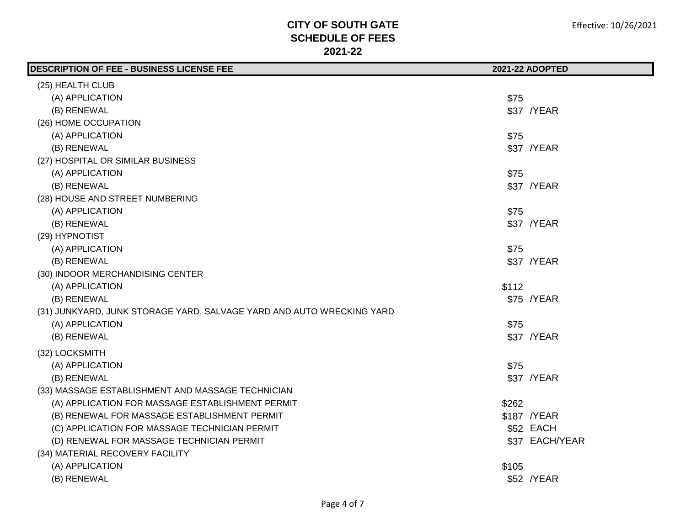| DESCRIPTION OF FEE - BUSINESS LICENSE FEE                             |       | 2021-22 ADOPTED |
|-----------------------------------------------------------------------|-------|-----------------|
| (25) HEALTH CLUB                                                      |       |                 |
| (A) APPLICATION                                                       | \$75  |                 |
| (B) RENEWAL                                                           |       | \$37 /YEAR      |
| (26) HOME OCCUPATION                                                  |       |                 |
| (A) APPLICATION                                                       | \$75  |                 |
| (B) RENEWAL                                                           |       | \$37 /YEAR      |
| (27) HOSPITAL OR SIMILAR BUSINESS                                     |       |                 |
| (A) APPLICATION                                                       | \$75  |                 |
| (B) RENEWAL                                                           |       | \$37 /YEAR      |
| (28) HOUSE AND STREET NUMBERING                                       |       |                 |
| (A) APPLICATION                                                       | \$75  |                 |
| (B) RENEWAL                                                           |       | \$37 / YEAR     |
| (29) HYPNOTIST                                                        |       |                 |
| (A) APPLICATION                                                       | \$75  |                 |
| (B) RENEWAL                                                           |       | \$37 /YEAR      |
| (30) INDOOR MERCHANDISING CENTER                                      |       |                 |
| (A) APPLICATION                                                       | \$112 |                 |
| (B) RENEWAL                                                           |       | \$75 /YEAR      |
| (31) JUNKYARD, JUNK STORAGE YARD, SALVAGE YARD AND AUTO WRECKING YARD |       |                 |
| (A) APPLICATION                                                       | \$75  |                 |
| (B) RENEWAL                                                           |       | \$37 /YEAR      |
| (32) LOCKSMITH                                                        |       |                 |
| (A) APPLICATION                                                       | \$75  |                 |
| (B) RENEWAL                                                           |       | \$37 / YEAR     |
| (33) MASSAGE ESTABLISHMENT AND MASSAGE TECHNICIAN                     |       |                 |
| (A) APPLICATION FOR MASSAGE ESTABLISHMENT PERMIT                      | \$262 |                 |
| (B) RENEWAL FOR MASSAGE ESTABLISHMENT PERMIT                          |       | \$187 /YEAR     |
| (C) APPLICATION FOR MASSAGE TECHNICIAN PERMIT                         |       | \$52 EACH       |
| (D) RENEWAL FOR MASSAGE TECHNICIAN PERMIT                             |       | \$37 EACH/YEAR  |
| (34) MATERIAL RECOVERY FACILITY                                       |       |                 |
| (A) APPLICATION                                                       | \$105 |                 |
| (B) RENEWAL                                                           |       | \$52 /YEAR      |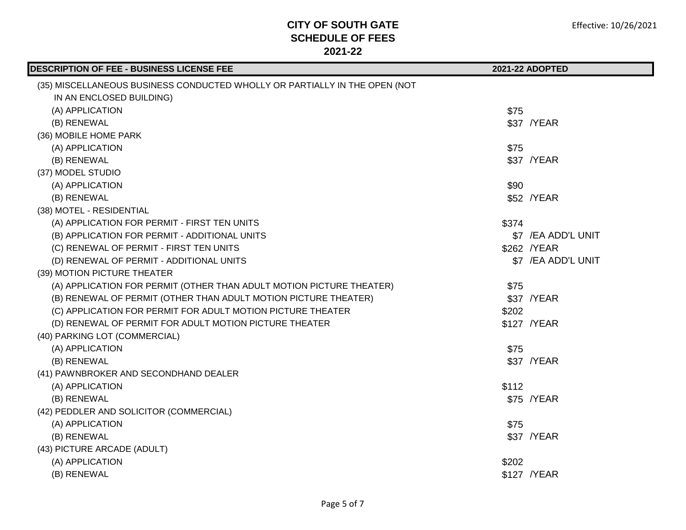| <b>DESCRIPTION OF FEE - BUSINESS LICENSE FEE</b>                           |       | 2021-22 ADOPTED     |
|----------------------------------------------------------------------------|-------|---------------------|
| (35) MISCELLANEOUS BUSINESS CONDUCTED WHOLLY OR PARTIALLY IN THE OPEN (NOT |       |                     |
| IN AN ENCLOSED BUILDING)                                                   |       |                     |
| (A) APPLICATION                                                            | \$75  |                     |
| (B) RENEWAL                                                                |       | \$37 /YEAR          |
| (36) MOBILE HOME PARK                                                      |       |                     |
| (A) APPLICATION                                                            | \$75  |                     |
| (B) RENEWAL                                                                |       | \$37 /YEAR          |
| (37) MODEL STUDIO                                                          |       |                     |
| (A) APPLICATION                                                            | \$90  |                     |
| (B) RENEWAL                                                                |       | \$52 /YEAR          |
| (38) MOTEL - RESIDENTIAL                                                   |       |                     |
| (A) APPLICATION FOR PERMIT - FIRST TEN UNITS                               | \$374 |                     |
| (B) APPLICATION FOR PERMIT - ADDITIONAL UNITS                              |       | \$7 /EA ADD'L UNIT  |
| (C) RENEWAL OF PERMIT - FIRST TEN UNITS                                    |       | \$262 / YEAR        |
| (D) RENEWAL OF PERMIT - ADDITIONAL UNITS                                   |       | \$7 / EA ADD'L UNIT |
| (39) MOTION PICTURE THEATER                                                |       |                     |
| (A) APPLICATION FOR PERMIT (OTHER THAN ADULT MOTION PICTURE THEATER)       | \$75  |                     |
| (B) RENEWAL OF PERMIT (OTHER THAN ADULT MOTION PICTURE THEATER)            |       | \$37 / YEAR         |
| (C) APPLICATION FOR PERMIT FOR ADULT MOTION PICTURE THEATER                | \$202 |                     |
| (D) RENEWAL OF PERMIT FOR ADULT MOTION PICTURE THEATER                     |       | \$127 / YEAR        |
| (40) PARKING LOT (COMMERCIAL)                                              |       |                     |
| (A) APPLICATION                                                            | \$75  |                     |
| (B) RENEWAL                                                                |       | \$37 /YEAR          |
| (41) PAWNBROKER AND SECONDHAND DEALER                                      |       |                     |
| (A) APPLICATION                                                            | \$112 |                     |
| (B) RENEWAL                                                                |       | \$75 /YEAR          |
| (42) PEDDLER AND SOLICITOR (COMMERCIAL)                                    |       |                     |
| (A) APPLICATION                                                            | \$75  |                     |
| (B) RENEWAL                                                                |       | \$37 / YEAR         |
| (43) PICTURE ARCADE (ADULT)                                                |       |                     |
| (A) APPLICATION                                                            | \$202 |                     |
| (B) RENEWAL                                                                |       | \$127 / YEAR        |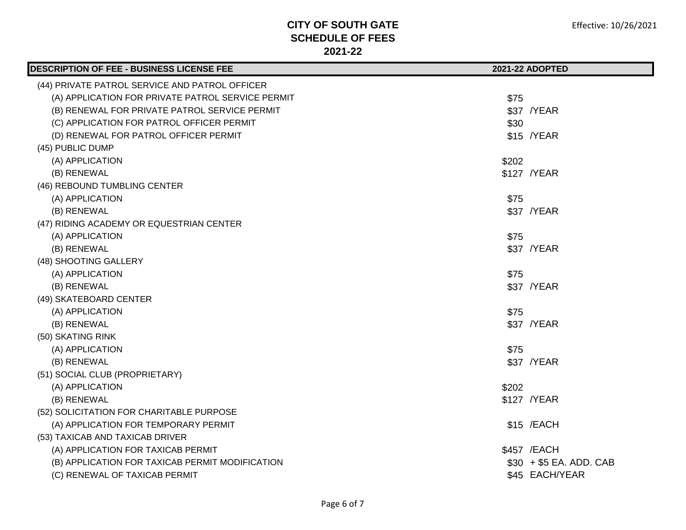| DESCRIPTION OF FEE - BUSINESS LICENSE FEE         | 2021-22 ADOPTED         |
|---------------------------------------------------|-------------------------|
| (44) PRIVATE PATROL SERVICE AND PATROL OFFICER    |                         |
| (A) APPLICATION FOR PRIVATE PATROL SERVICE PERMIT | \$75                    |
| (B) RENEWAL FOR PRIVATE PATROL SERVICE PERMIT     | \$37 /YEAR              |
| (C) APPLICATION FOR PATROL OFFICER PERMIT         | \$30                    |
| (D) RENEWAL FOR PATROL OFFICER PERMIT             | \$15 /YEAR              |
| (45) PUBLIC DUMP                                  |                         |
| (A) APPLICATION                                   | \$202                   |
| (B) RENEWAL                                       | \$127 / YEAR            |
| (46) REBOUND TUMBLING CENTER                      |                         |
| (A) APPLICATION                                   | \$75                    |
| (B) RENEWAL                                       | \$37 /YEAR              |
| (47) RIDING ACADEMY OR EQUESTRIAN CENTER          |                         |
| (A) APPLICATION                                   | \$75                    |
| (B) RENEWAL                                       | \$37 /YEAR              |
| (48) SHOOTING GALLERY                             |                         |
| (A) APPLICATION                                   | \$75                    |
| (B) RENEWAL                                       | \$37 /YEAR              |
| (49) SKATEBOARD CENTER                            |                         |
| (A) APPLICATION                                   | \$75                    |
| (B) RENEWAL                                       | \$37 /YEAR              |
| (50) SKATING RINK                                 |                         |
| (A) APPLICATION                                   | \$75                    |
| (B) RENEWAL                                       | \$37 /YEAR              |
| (51) SOCIAL CLUB (PROPRIETARY)                    |                         |
| (A) APPLICATION                                   | \$202                   |
| (B) RENEWAL                                       | \$127 / YEAR            |
| (52) SOLICITATION FOR CHARITABLE PURPOSE          |                         |
| (A) APPLICATION FOR TEMPORARY PERMIT              | \$15 / EACH             |
| (53) TAXICAB AND TAXICAB DRIVER                   |                         |
| (A) APPLICATION FOR TAXICAB PERMIT                | \$457 / EACH            |
| (B) APPLICATION FOR TAXICAB PERMIT MODIFICATION   | $$30 + $5$ EA. ADD. CAB |
| (C) RENEWAL OF TAXICAB PERMIT                     | \$45 EACH/YEAR          |